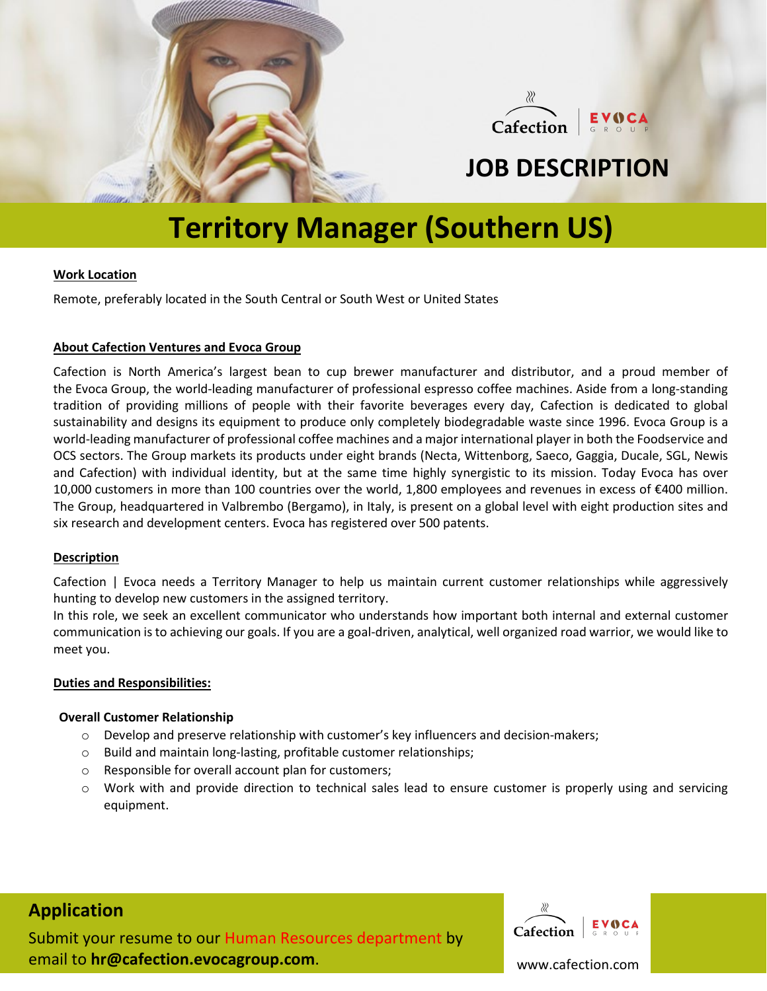

 $\chi$ Cafection

## **JOB DESCRIPTION**

# **Territory Manager (Southern US)**

## **Work Location**

Remote, preferably located in the South Central or South West or United States

## **About Cafection Ventures and Evoca Group**

[Cafection](http://www.cafection.com/) is North America's largest bean to cup brewer manufacturer and distributor, and a proud member of the Evoca [Group,](http://www.evocagroup.com/) the world-leading manufacturer of professional espresso coffee machines. Aside from a long-standing tradition of providing millions of people with their favorite beverages every day, Cafection is dedicated to global sustainability and designs its equipment to produce only completely biodegradable waste since 1996. Evoca Group is a world-leading manufacturer of professional coffee machines and a major international player in both the Foodservice and OCS sectors. The Group markets its products under eight brands (Necta, Wittenborg, Saeco, Gaggia, Ducale, SGL, Newis and Cafection) with individual identity, but at the same time highly synergistic to its mission. Today Evoca has over 10,000 customers in more than 100 countries over the world, 1,800 employees and revenues in excess of €400 million. The Group, headquartered in Valbrembo (Bergamo), in Italy, is present on a global level with eight production sites and six research and development centers. Evoca has registered over 500 patents.

## **Description**

Cafection | Evoca needs a Territory Manager to help us maintain current customer relationships while aggressively hunting to develop new customers in the assigned territory.

In this role, we seek an excellent communicator who understands how important both internal and external customer communication is to achieving our goals. If you are a goal-driven, analytical, well organized road warrior, we would like to meet you.

## **Duties and Responsibilities:**

## **Overall Customer Relationship**

- o Develop and preserve relationship with customer's key influencers and decision-makers;
- o Build and maintain long-lasting, profitable customer relationships;
- o Responsible for overall account plan for customers;
- o Work with and provide direction to technical sales lead to ensure customer is properly using and servicing equipment.

## **Application**

Submit your resume to our Human Resources department by email to **hr@cafection.evocagroup.com**.



www.cafection.com